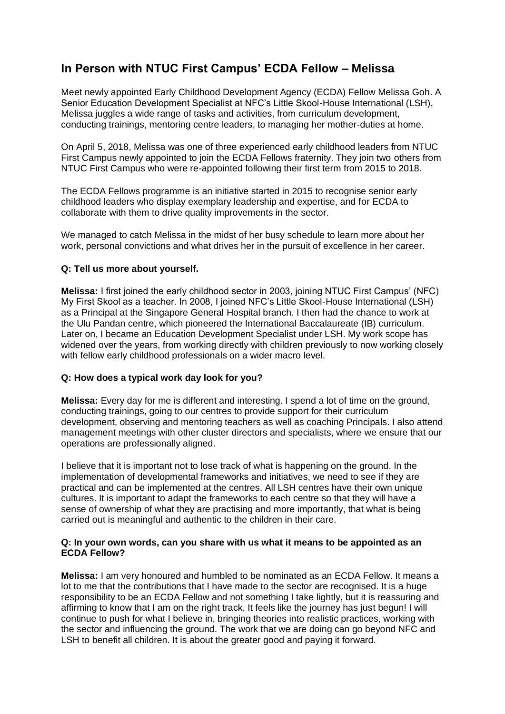# **In Person with NTUC First Campus' ECDA Fellow – Melissa**

Meet newly appointed Early Childhood Development Agency (ECDA) Fellow Melissa Goh. A Senior Education Development Specialist at NFC's Little Skool-House International (LSH), Melissa juggles a wide range of tasks and activities, from curriculum development, conducting trainings, mentoring centre leaders, to managing her mother-duties at home.

On April 5, 2018, Melissa was one of three experienced early childhood leaders from NTUC First Campus newly appointed to join the ECDA Fellows fraternity. They join two others from NTUC First Campus who were re-appointed following their first term from 2015 to 2018.

The ECDA Fellows programme is an initiative started in 2015 to recognise senior early childhood leaders who display exemplary leadership and expertise, and for ECDA to collaborate with them to drive quality improvements in the sector.

We managed to catch Melissa in the midst of her busy schedule to learn more about her work, personal convictions and what drives her in the pursuit of excellence in her career.

## **Q: Tell us more about yourself.**

**Melissa:** I first joined the early childhood sector in 2003, joining NTUC First Campus' (NFC) My First Skool as a teacher. In 2008, I joined NFC's Little Skool-House International (LSH) as a Principal at the Singapore General Hospital branch. I then had the chance to work at the Ulu Pandan centre, which pioneered the International Baccalaureate (IB) curriculum. Later on, I became an Education Development Specialist under LSH. My work scope has widened over the years, from working directly with children previously to now working closely with fellow early childhood professionals on a wider macro level.

## **Q: How does a typical work day look for you?**

**Melissa:** Every day for me is different and interesting. I spend a lot of time on the ground, conducting trainings, going to our centres to provide support for their curriculum development, observing and mentoring teachers as well as coaching Principals. I also attend management meetings with other cluster directors and specialists, where we ensure that our operations are professionally aligned.

I believe that it is important not to lose track of what is happening on the ground. In the implementation of developmental frameworks and initiatives, we need to see if they are practical and can be implemented at the centres. All LSH centres have their own unique cultures. It is important to adapt the frameworks to each centre so that they will have a sense of ownership of what they are practising and more importantly, that what is being carried out is meaningful and authentic to the children in their care.

#### **Q: In your own words, can you share with us what it means to be appointed as an ECDA Fellow?**

**Melissa:** I am very honoured and humbled to be nominated as an ECDA Fellow. It means a lot to me that the contributions that I have made to the sector are recognised. It is a huge responsibility to be an ECDA Fellow and not something I take lightly, but it is reassuring and affirming to know that I am on the right track. It feels like the journey has just begun! I will continue to push for what I believe in, bringing theories into realistic practices, working with the sector and influencing the ground. The work that we are doing can go beyond NFC and LSH to benefit all children. It is about the greater good and paying it forward.